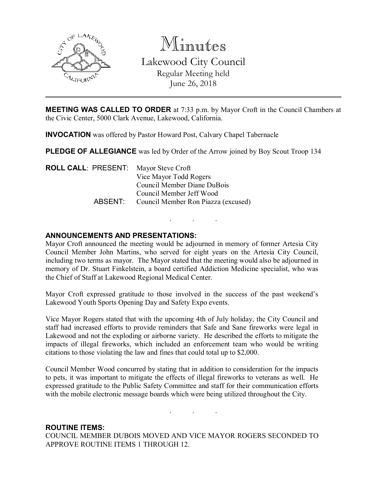

Minutes Lakewood City Council Regular Meeting held June 26, 2018

MEETING WAS CALLED TO ORDER at 7:33 p.m. by Mayor Croft in the Council Chambers at the Civic Center, 5000 Clark Avenue, Lakewood, California.

INVOCATION was offered by Pastor Howard Post, Calvary Chapel Tabernacle

PLEDGE OF ALLEGIANCE was led by Order of the Arrow joined by Boy Scout Troop 134

ROLL CALL: PRESENT: Mayor Steve Croft Vice Mayor Todd Rogers Council Member Diane DuBois Council Member Jeff Wood ABSENT: Council Member Ron Piazza (excused)

### ANNOUNCEMENTS AND PRESENTATIONS:

Mayor Croft announced the meeting would be adjourned in memory of former Artesia City Council Member John Martins, who served for eight years on the Artesia City Council, including two terms as mayor. The Mayor stated that the meeting would also be adjourned in memory of Dr. Stuart Finkelstein, a board certified Addiction Medicine specialist, who was the Chief of Staff at Lakewood Regional Medical Center.

. . .

Mayor Croft expressed gratitude to those involved in the success of the past weekend's Lakewood Youth Sports Opening Day and Safety Expo events.

Vice Mayor Rogers stated that with the upcoming 4th of July holiday, the City Council and staff had increased efforts to provide reminders that Safe and Sane fireworks were legal in Lakewood and not the exploding or airborne variety. He described the efforts to mitigate the impacts of illegal fireworks, which included an enforcement team who would be writing citations to those violating the law and fines that could total up to \$2,000.

Council Member Wood concurred by stating that in addition to consideration for the impacts to pets, it was important to mitigate the effects of illegal fireworks to veterans as well. He expressed gratitude to the Public Safety Committee and staff for their communication efforts with the mobile electronic message boards which were being utilized throughout the City.

. . .

#### ROUTINE ITEMS:

COUNCIL MEMBER DUBOIS MOVED AND VICE MAYOR ROGERS SECONDED TO APPROVE ROUTINE ITEMS 1 THROUGH 12.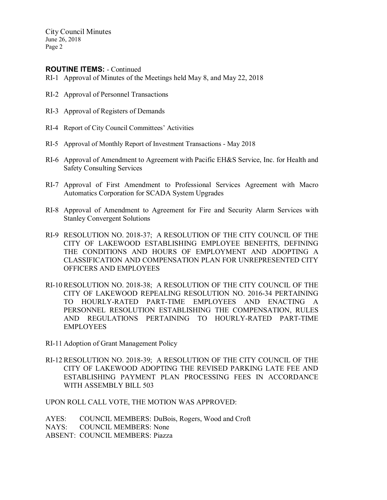City Council Minutes June 26, 2018 Page 2

### ROUTINE ITEMS: - Continued

- RI-1 Approval of Minutes of the Meetings held May 8, and May 22, 2018
- RI-2 Approval of Personnel Transactions
- RI-3 Approval of Registers of Demands
- RI-4 Report of City Council Committees' Activities
- RI-5 Approval of Monthly Report of Investment Transactions May 2018
- RI-6 Approval of Amendment to Agreement with Pacific EH&S Service, Inc. for Health and Safety Consulting Services
- RI-7 Approval of First Amendment to Professional Services Agreement with Macro Automatics Corporation for SCADA System Upgrades
- RI-8 Approval of Amendment to Agreement for Fire and Security Alarm Services with Stanley Convergent Solutions
- RI-9 RESOLUTION NO. 2018-37; A RESOLUTION OF THE CITY COUNCIL OF THE CITY OF LAKEWOOD ESTABLISHING EMPLOYEE BENEFITS, DEFINING THE CONDITIONS AND HOURS OF EMPLOYMENT AND ADOPTING A CLASSIFICATION AND COMPENSATION PLAN FOR UNREPRESENTED CITY OFFICERS AND EMPLOYEES
- RI-10 RESOLUTION NO. 2018-38; A RESOLUTION OF THE CITY COUNCIL OF THE CITY OF LAKEWOOD REPEALING RESOLUTION NO. 2016-34 PERTAINING TO HOURLY-RATED PART-TIME EMPLOYEES AND ENACTING A PERSONNEL RESOLUTION ESTABLISHING THE COMPENSATION, RULES AND REGULATIONS PERTAINING TO HOURLY-RATED PART-TIME EMPLOYEES
- RI-11 Adoption of Grant Management Policy
- RI-12 RESOLUTION NO. 2018-39; A RESOLUTION OF THE CITY COUNCIL OF THE CITY OF LAKEWOOD ADOPTING THE REVISED PARKING LATE FEE AND ESTABLISHING PAYMENT PLAN PROCESSING FEES IN ACCORDANCE WITH ASSEMBLY BILL 503

UPON ROLL CALL VOTE, THE MOTION WAS APPROVED:

AYES: COUNCIL MEMBERS: DuBois, Rogers, Wood and Croft NAYS: COUNCIL MEMBERS: None ABSENT: COUNCIL MEMBERS: Piazza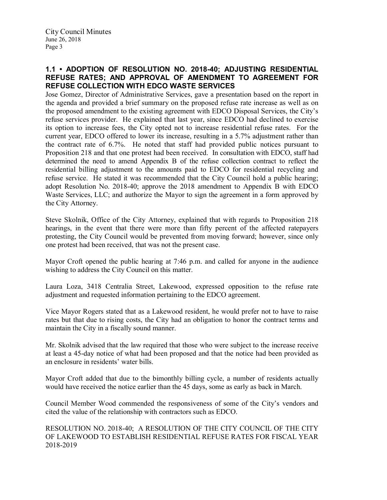### 1.1 • ADOPTION OF RESOLUTION NO. 2018-40; ADJUSTING RESIDENTIAL REFUSE RATES; AND APPROVAL OF AMENDMENT TO AGREEMENT FOR REFUSE COLLECTION WITH EDCO WASTE SERVICES

Jose Gomez, Director of Administrative Services, gave a presentation based on the report in the agenda and provided a brief summary on the proposed refuse rate increase as well as on the proposed amendment to the existing agreement with EDCO Disposal Services, the City's refuse services provider. He explained that last year, since EDCO had declined to exercise its option to increase fees, the City opted not to increase residential refuse rates. For the current year, EDCO offered to lower its increase, resulting in a 5.7% adjustment rather than the contract rate of 6.7%. He noted that staff had provided public notices pursuant to Proposition 218 and that one protest had been received. In consultation with EDCO, staff had determined the need to amend Appendix B of the refuse collection contract to reflect the residential billing adjustment to the amounts paid to EDCO for residential recycling and refuse service. He stated it was recommended that the City Council hold a public hearing; adopt Resolution No. 2018-40; approve the 2018 amendment to Appendix B with EDCO Waste Services, LLC; and authorize the Mayor to sign the agreement in a form approved by the City Attorney.

Steve Skolnik, Office of the City Attorney, explained that with regards to Proposition 218 hearings, in the event that there were more than fifty percent of the affected ratepayers protesting, the City Council would be prevented from moving forward; however, since only one protest had been received, that was not the present case.

Mayor Croft opened the public hearing at 7:46 p.m. and called for anyone in the audience wishing to address the City Council on this matter.

Laura Loza, 3418 Centralia Street, Lakewood, expressed opposition to the refuse rate adjustment and requested information pertaining to the EDCO agreement.

Vice Mayor Rogers stated that as a Lakewood resident, he would prefer not to have to raise rates but that due to rising costs, the City had an obligation to honor the contract terms and maintain the City in a fiscally sound manner.

Mr. Skolnik advised that the law required that those who were subject to the increase receive at least a 45-day notice of what had been proposed and that the notice had been provided as an enclosure in residents' water bills.

Mayor Croft added that due to the bimonthly billing cycle, a number of residents actually would have received the notice earlier than the 45 days, some as early as back in March.

Council Member Wood commended the responsiveness of some of the City's vendors and cited the value of the relationship with contractors such as EDCO.

RESOLUTION NO. 2018-40; A RESOLUTION OF THE CITY COUNCIL OF THE CITY OF LAKEWOOD TO ESTABLISH RESIDENTIAL REFUSE RATES FOR FISCAL YEAR 2018-2019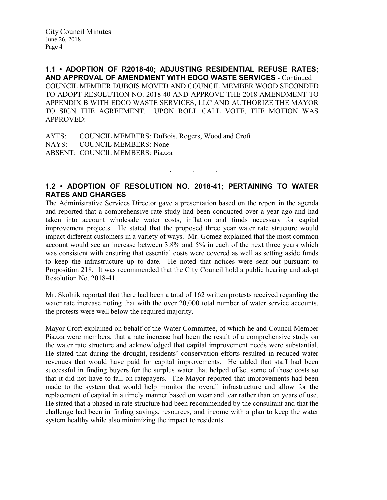1.1 • ADOPTION OF R2018-40; ADJUSTING RESIDENTIAL REFUSE RATES; AND APPROVAL OF AMENDMENT WITH EDCO WASTE SERVICES - Continued COUNCIL MEMBER DUBOIS MOVED AND COUNCIL MEMBER WOOD SECONDED TO ADOPT RESOLUTION NO. 2018-40 AND APPROVE THE 2018 AMENDMENT TO APPENDIX B WITH EDCO WASTE SERVICES, LLC AND AUTHORIZE THE MAYOR TO SIGN THE AGREEMENT. UPON ROLL CALL VOTE, THE MOTION WAS APPROVED:

AYES: COUNCIL MEMBERS: DuBois, Rogers, Wood and Croft NAYS: COUNCIL MEMBERS: None ABSENT: COUNCIL MEMBERS: Piazza

# 1.2 • ADOPTION OF RESOLUTION NO. 2018-41; PERTAINING TO WATER RATES AND CHARGES

. . .

The Administrative Services Director gave a presentation based on the report in the agenda and reported that a comprehensive rate study had been conducted over a year ago and had taken into account wholesale water costs, inflation and funds necessary for capital improvement projects. He stated that the proposed three year water rate structure would impact different customers in a variety of ways. Mr. Gomez explained that the most common account would see an increase between 3.8% and 5% in each of the next three years which was consistent with ensuring that essential costs were covered as well as setting aside funds to keep the infrastructure up to date. He noted that notices were sent out pursuant to Proposition 218. It was recommended that the City Council hold a public hearing and adopt Resolution No. 2018-41.

Mr. Skolnik reported that there had been a total of 162 written protests received regarding the water rate increase noting that with the over 20,000 total number of water service accounts, the protests were well below the required majority.

Mayor Croft explained on behalf of the Water Committee, of which he and Council Member Piazza were members, that a rate increase had been the result of a comprehensive study on the water rate structure and acknowledged that capital improvement needs were substantial. He stated that during the drought, residents' conservation efforts resulted in reduced water revenues that would have paid for capital improvements. He added that staff had been successful in finding buyers for the surplus water that helped offset some of those costs so that it did not have to fall on ratepayers. The Mayor reported that improvements had been made to the system that would help monitor the overall infrastructure and allow for the replacement of capital in a timely manner based on wear and tear rather than on years of use. He stated that a phased in rate structure had been recommended by the consultant and that the challenge had been in finding savings, resources, and income with a plan to keep the water system healthy while also minimizing the impact to residents.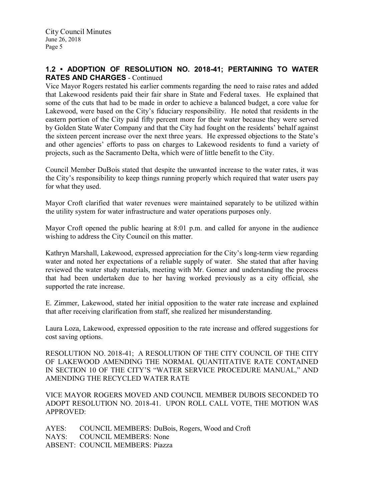### 1.2 • ADOPTION OF RESOLUTION NO. 2018-41; PERTAINING TO WATER RATES AND CHARGES - Continued

Vice Mayor Rogers restated his earlier comments regarding the need to raise rates and added that Lakewood residents paid their fair share in State and Federal taxes. He explained that some of the cuts that had to be made in order to achieve a balanced budget, a core value for Lakewood, were based on the City's fiduciary responsibility. He noted that residents in the eastern portion of the City paid fifty percent more for their water because they were served by Golden State Water Company and that the City had fought on the residents' behalf against the sixteen percent increase over the next three years. He expressed objections to the State's and other agencies' efforts to pass on charges to Lakewood residents to fund a variety of projects, such as the Sacramento Delta, which were of little benefit to the City.

Council Member DuBois stated that despite the unwanted increase to the water rates, it was the City's responsibility to keep things running properly which required that water users pay for what they used.

Mayor Croft clarified that water revenues were maintained separately to be utilized within the utility system for water infrastructure and water operations purposes only.

Mayor Croft opened the public hearing at 8:01 p.m. and called for anyone in the audience wishing to address the City Council on this matter.

Kathryn Marshall, Lakewood, expressed appreciation for the City's long-term view regarding water and noted her expectations of a reliable supply of water. She stated that after having reviewed the water study materials, meeting with Mr. Gomez and understanding the process that had been undertaken due to her having worked previously as a city official, she supported the rate increase.

E. Zimmer, Lakewood, stated her initial opposition to the water rate increase and explained that after receiving clarification from staff, she realized her misunderstanding.

Laura Loza, Lakewood, expressed opposition to the rate increase and offered suggestions for cost saving options.

RESOLUTION NO. 2018-41; A RESOLUTION OF THE CITY COUNCIL OF THE CITY OF LAKEWOOD AMENDING THE NORMAL QUANTITATIVE RATE CONTAINED IN SECTION 10 OF THE CITY'S "WATER SERVICE PROCEDURE MANUAL," AND AMENDING THE RECYCLED WATER RATE

VICE MAYOR ROGERS MOVED AND COUNCIL MEMBER DUBOIS SECONDED TO ADOPT RESOLUTION NO. 2018-41. UPON ROLL CALL VOTE, THE MOTION WAS APPROVED:

AYES: COUNCIL MEMBERS: DuBois, Rogers, Wood and Croft NAYS: COUNCIL MEMBERS: None ABSENT: COUNCIL MEMBERS: Piazza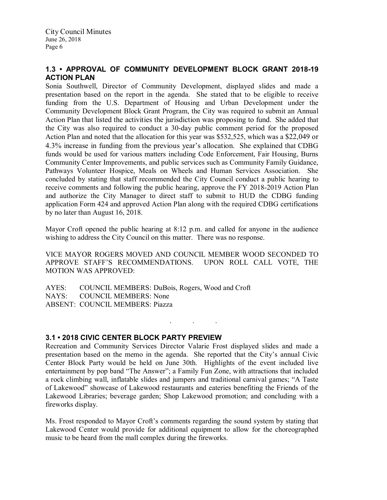## 1.3 • APPROVAL OF COMMUNITY DEVELOPMENT BLOCK GRANT 2018-19 ACTION PLAN

Sonia Southwell, Director of Community Development, displayed slides and made a presentation based on the report in the agenda. She stated that to be eligible to receive funding from the U.S. Department of Housing and Urban Development under the Community Development Block Grant Program, the City was required to submit an Annual Action Plan that listed the activities the jurisdiction was proposing to fund. She added that the City was also required to conduct a 30-day public comment period for the proposed Action Plan and noted that the allocation for this year was \$532,525, which was a \$22,049 or 4.3% increase in funding from the previous year's allocation. She explained that CDBG funds would be used for various matters including Code Enforcement, Fair Housing, Burns Community Center Improvements, and public services such as Community Family Guidance, Pathways Volunteer Hospice, Meals on Wheels and Human Services Association. She concluded by stating that staff recommended the City Council conduct a public hearing to receive comments and following the public hearing, approve the FY 2018-2019 Action Plan and authorize the City Manager to direct staff to submit to HUD the CDBG funding application Form 424 and approved Action Plan along with the required CDBG certifications by no later than August 16, 2018.

Mayor Croft opened the public hearing at 8:12 p.m. and called for anyone in the audience wishing to address the City Council on this matter. There was no response.

VICE MAYOR ROGERS MOVED AND COUNCIL MEMBER WOOD SECONDED TO APPROVE STAFF'S RECOMMENDATIONS. UPON ROLL CALL VOTE, THE MOTION WAS APPROVED:

AYES: COUNCIL MEMBERS: DuBois, Rogers, Wood and Croft NAYS: COUNCIL MEMBERS: None ABSENT: COUNCIL MEMBERS: Piazza

### 3.1 • 2018 CIVIC CENTER BLOCK PARTY PREVIEW

Recreation and Community Services Director Valarie Frost displayed slides and made a presentation based on the memo in the agenda. She reported that the City's annual Civic Center Block Party would be held on June 30th. Highlights of the event included live entertainment by pop band "The Answer"; a Family Fun Zone, with attractions that included a rock climbing wall, inflatable slides and jumpers and traditional carnival games; "A Taste of Lakewood" showcase of Lakewood restaurants and eateries benefiting the Friends of the Lakewood Libraries; beverage garden; Shop Lakewood promotion; and concluding with a fireworks display.

. . .

Ms. Frost responded to Mayor Croft's comments regarding the sound system by stating that Lakewood Center would provide for additional equipment to allow for the choreographed music to be heard from the mall complex during the fireworks.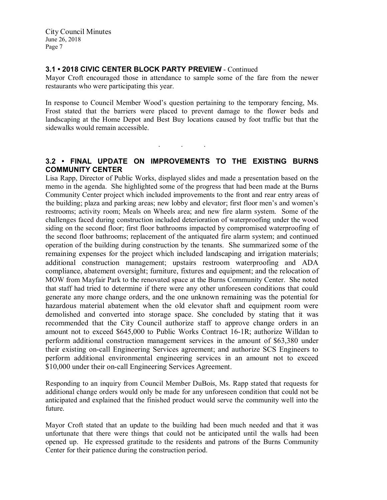## 3.1 • 2018 CIVIC CENTER BLOCK PARTY PREVIEW - Continued

Mayor Croft encouraged those in attendance to sample some of the fare from the newer restaurants who were participating this year.

In response to Council Member Wood's question pertaining to the temporary fencing, Ms. Frost stated that the barriers were placed to prevent damage to the flower beds and landscaping at the Home Depot and Best Buy locations caused by foot traffic but that the sidewalks would remain accessible.

# 3.2 • FINAL UPDATE ON IMPROVEMENTS TO THE EXISTING BURNS COMMUNITY CENTER

. . .

Lisa Rapp, Director of Public Works, displayed slides and made a presentation based on the memo in the agenda. She highlighted some of the progress that had been made at the Burns Community Center project which included improvements to the front and rear entry areas of the building; plaza and parking areas; new lobby and elevator; first floor men's and women's restrooms; activity room; Meals on Wheels area; and new fire alarm system. Some of the challenges faced during construction included deterioration of waterproofing under the wood siding on the second floor; first floor bathrooms impacted by compromised waterproofing of the second floor bathrooms; replacement of the antiquated fire alarm system; and continued operation of the building during construction by the tenants. She summarized some of the remaining expenses for the project which included landscaping and irrigation materials; additional construction management; upstairs restroom waterproofing and ADA compliance, abatement oversight; furniture, fixtures and equipment; and the relocation of MOW from Mayfair Park to the renovated space at the Burns Community Center. She noted that staff had tried to determine if there were any other unforeseen conditions that could generate any more change orders, and the one unknown remaining was the potential for hazardous material abatement when the old elevator shaft and equipment room were demolished and converted into storage space. She concluded by stating that it was recommended that the City Council authorize staff to approve change orders in an amount not to exceed \$645,000 to Public Works Contract 16-1R; authorize Willdan to perform additional construction management services in the amount of \$63,380 under their existing on-call Engineering Services agreement; and authorize SCS Engineers to perform additional environmental engineering services in an amount not to exceed \$10,000 under their on-call Engineering Services Agreement.

Responding to an inquiry from Council Member DuBois, Ms. Rapp stated that requests for additional change orders would only be made for any unforeseen condition that could not be anticipated and explained that the finished product would serve the community well into the future.

Mayor Croft stated that an update to the building had been much needed and that it was unfortunate that there were things that could not be anticipated until the walls had been opened up. He expressed gratitude to the residents and patrons of the Burns Community Center for their patience during the construction period.